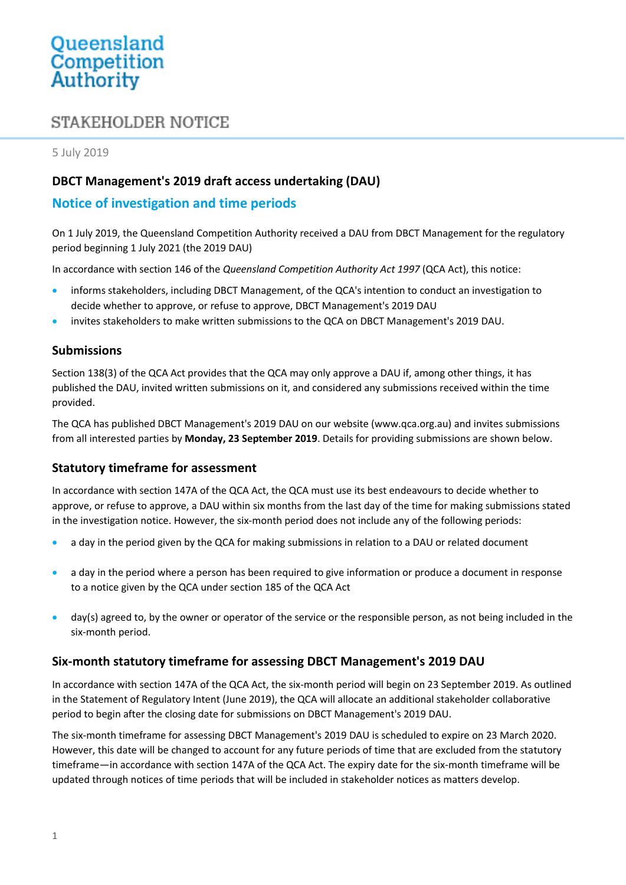# Queensland<br>Competition Authority

# STAKEHOLDER NOTICE

5 July 2019

### **DBCT Management's 2019 draft access undertaking (DAU)**

### **Notice of investigation and time periods**

On 1 July 2019, the Queensland Competition Authority received a DAU from DBCT Management for the regulatory period beginning 1 July 2021 (the 2019 DAU)

In accordance with section 146 of the *Queensland Competition Authority Act 1997* (QCA Act), this notice:

- informs stakeholders, including DBCT Management, of the QCA's intention to conduct an investigation to decide whether to approve, or refuse to approve, DBCT Management's 2019 DAU
- invites stakeholders to make written submissions to the QCA on DBCT Management's 2019 DAU.

#### **Submissions**

Section 138(3) of the QCA Act provides that the QCA may only approve a DAU if, among other things, it has published the DAU, invited written submissions on it, and considered any submissions received within the time provided.

The QCA has published DBCT Management's 2019 DAU on our website [\(www.qca.org.au\)](http://www.qca.org.au/) and invites submissions from all interested parties by **Monday, 23 September 2019**. Details for providing submissions are shown below.

#### **Statutory timeframe for assessment**

In accordance with section 147A of the QCA Act, the QCA must use its best endeavours to decide whether to approve, or refuse to approve, a DAU within six months from the last day of the time for making submissions stated in the investigation notice. However, the six-month period does not include any of the following periods:

- a day in the period given by the QCA for making submissions in relation to a DAU or related document
- a day in the period where a person has been required to give information or produce a document in response to a notice given by the QCA under section 185 of the QCA Act
- day(s) agreed to, by the owner or operator of the service or the responsible person, as not being included in the six-month period.

#### **Six-month statutory timeframe for assessing DBCT Management's 2019 DAU**

In accordance with section 147A of the QCA Act, the six-month period will begin on 23 September 2019. As outlined in the Statement of Regulatory Intent (June 2019), the QCA will allocate an additional stakeholder collaborative period to begin after the closing date for submissions on DBCT Management's 2019 DAU.

The six-month timeframe for assessing DBCT Management's 2019 DAU is scheduled to expire on 23 March 2020. However, this date will be changed to account for any future periods of time that are excluded from the statutory timeframe—in accordance with section 147A of the QCA Act. The expiry date for the six-month timeframe will be updated through notices of time periods that will be included in stakeholder notices as matters develop.